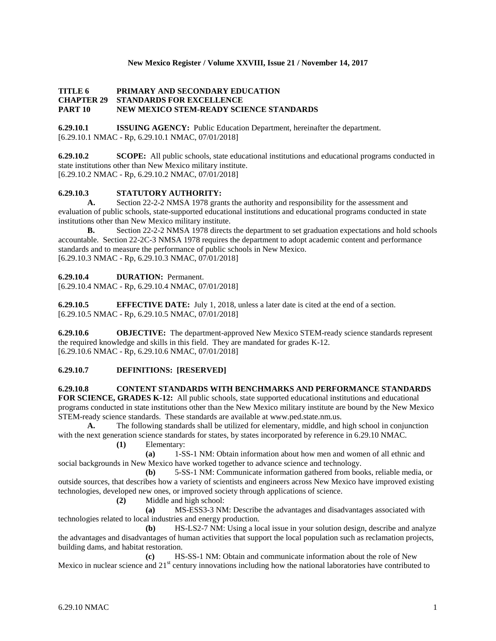## **New Mexico Register / Volume XXVIII, Issue 21 / November 14, 2017**

## **TITLE 6 PRIMARY AND SECONDARY EDUCATION CHAPTER 29 STANDARDS FOR EXCELLENCE PART 10 NEW MEXICO STEM-READY SCIENCE STANDARDS**

**6.29.10.1 ISSUING AGENCY:** Public Education Department, hereinafter the department. [6.29.10.1 NMAC - Rp, 6.29.10.1 NMAC, 07/01/2018]

**6.29.10.2 SCOPE:** All public schools, state educational institutions and educational programs conducted in state institutions other than New Mexico military institute. [6.29.10.2 NMAC - Rp, 6.29.10.2 NMAC, 07/01/2018]

# **6.29.10.3 STATUTORY AUTHORITY:**

**A.** Section 22-2-2 NMSA 1978 grants the authority and responsibility for the assessment and evaluation of public schools, state-supported educational institutions and educational programs conducted in state institutions other than New Mexico military institute.

**B.** Section 22-2-2 NMSA 1978 directs the department to set graduation expectations and hold schools accountable. Section 22-2C-3 NMSA 1978 requires the department to adopt academic content and performance standards and to measure the performance of public schools in New Mexico. [6.29.10.3 NMAC - Rp, 6.29.10.3 NMAC, 07/01/2018]

# **6.29.10.4 DURATION:** Permanent.

[6.29.10.4 NMAC - Rp, 6.29.10.4 NMAC, 07/01/2018]

**6.29.10.5 EFFECTIVE DATE:** July 1, 2018, unless a later date is cited at the end of a section. [6.29.10.5 NMAC - Rp, 6.29.10.5 NMAC, 07/01/2018]

**6.29.10.6 OBJECTIVE:** The department-approved New Mexico STEM-ready science standards represent the required knowledge and skills in this field. They are mandated for grades K-12. [6.29.10.6 NMAC - Rp, 6.29.10.6 NMAC, 07/01/2018]

# **6.29.10.7 DEFINITIONS: [RESERVED]**

**6.29.10.8 CONTENT STANDARDS WITH BENCHMARKS AND PERFORMANCE STANDARDS** 

**FOR SCIENCE, GRADES K-12:** All public schools, state supported educational institutions and educational programs conducted in state institutions other than the New Mexico military institute are bound by the New Mexico STEM-ready science standards. These standards are available a[t www.ped.state.nm.us.](http://www.ped.state.nm.us/)

**A.** The following standards shall be utilized for elementary, middle, and high school in conjunction with the next generation science standards for states, by states incorporated by reference in 6.29.10 NMAC.

**(1)** Elementary:

**(a)** 1-SS-1 NM: Obtain information about how men and women of all ethnic and social backgrounds in New Mexico have worked together to advance science and technology.

**(b)** 5-SS-1 NM: Communicate information gathered from books, reliable media, or outside sources, that describes how a variety of scientists and engineers across New Mexico have improved existing technologies, developed new ones, or improved society through applications of science.

**(2)** Middle and high school:

**(a)** MS-ESS3-3 NM: Describe the advantages and disadvantages associated with technologies related to local industries and energy production.

**(b)** HS-LS2-7 NM: Using a local issue in your solution design, describe and analyze the advantages and disadvantages of human activities that support the local population such as reclamation projects, building dams, and habitat restoration.

**(c)** HS-SS-1 NM: Obtain and communicate information about the role of New Mexico in nuclear science and 21<sup>st</sup> century innovations including how the national laboratories have contributed to